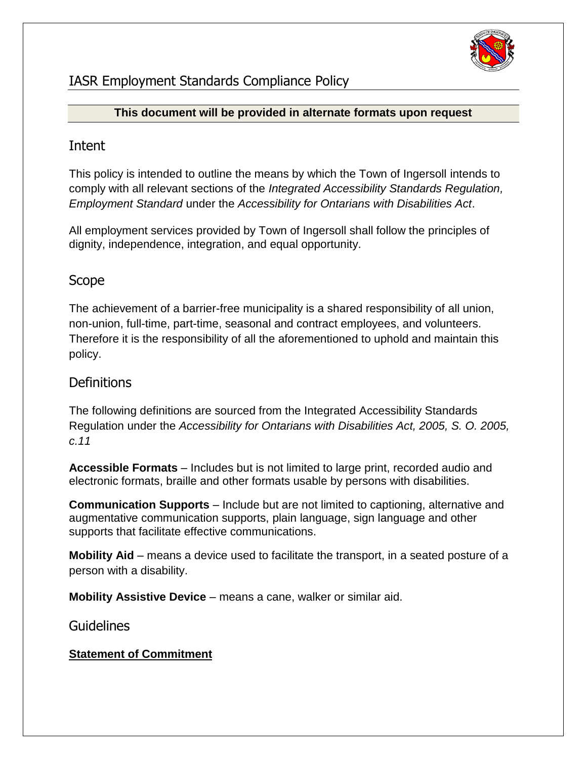

# IASR Employment Standards Compliance Policy

### **This document will be provided in alternate formats upon request**

## Intent

This policy is intended to outline the means by which the Town of Ingersoll intends to comply with all relevant sections of the *Integrated Accessibility Standards Regulation, Employment Standard* under the *Accessibility for Ontarians with Disabilities Act*.

All employment services provided by Town of Ingersoll shall follow the principles of dignity, independence, integration, and equal opportunity.

# Scope

The achievement of a barrier-free municipality is a shared responsibility of all union, non-union, full-time, part-time, seasonal and contract employees, and volunteers. Therefore it is the responsibility of all the aforementioned to uphold and maintain this policy.

## **Definitions**

The following definitions are sourced from the Integrated Accessibility Standards Regulation under the *Accessibility for Ontarians with Disabilities Act, 2005, S. O. 2005, c.11*

**Accessible Formats** – Includes but is not limited to large print, recorded audio and electronic formats, braille and other formats usable by persons with disabilities.

**Communication Supports** – Include but are not limited to captioning, alternative and augmentative communication supports, plain language, sign language and other supports that facilitate effective communications.

**Mobility Aid** – means a device used to facilitate the transport, in a seated posture of a person with a disability.

**Mobility Assistive Device** – means a cane, walker or similar aid.

## Guidelines

## **Statement of Commitment**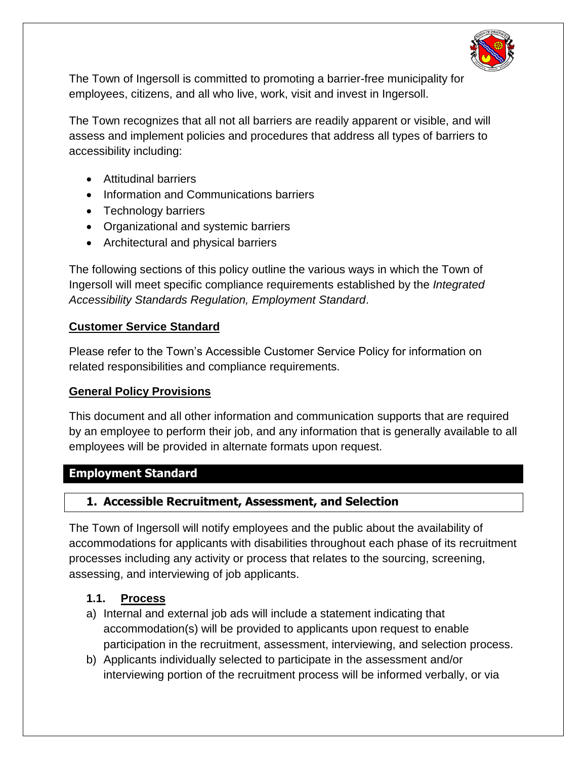

The Town of Ingersoll is committed to promoting a barrier-free municipality for employees, citizens, and all who live, work, visit and invest in Ingersoll.

The Town recognizes that all not all barriers are readily apparent or visible, and will assess and implement policies and procedures that address all types of barriers to accessibility including:

- Attitudinal barriers
- Information and Communications barriers
- Technology barriers
- Organizational and systemic barriers
- Architectural and physical barriers

The following sections of this policy outline the various ways in which the Town of Ingersoll will meet specific compliance requirements established by the *Integrated Accessibility Standards Regulation, Employment Standard*.

### **Customer Service Standard**

Please refer to the Town's Accessible Customer Service Policy for information on related responsibilities and compliance requirements.

### **General Policy Provisions**

This document and all other information and communication supports that are required by an employee to perform their job, and any information that is generally available to all employees will be provided in alternate formats upon request.

### **Employment Standard**

### **1. Accessible Recruitment, Assessment, and Selection**

The Town of Ingersoll will notify employees and the public about the availability of accommodations for applicants with disabilities throughout each phase of its recruitment processes including any activity or process that relates to the sourcing, screening, assessing, and interviewing of job applicants.

### **1.1. Process**

- a) Internal and external job ads will include a statement indicating that accommodation(s) will be provided to applicants upon request to enable participation in the recruitment, assessment, interviewing, and selection process.
- b) Applicants individually selected to participate in the assessment and/or interviewing portion of the recruitment process will be informed verbally, or via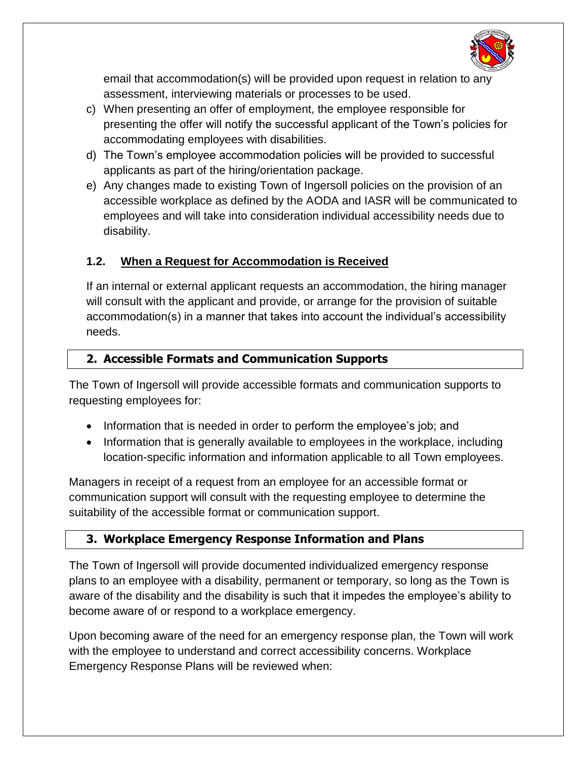

email that accommodation(s) will be provided upon request in relation to any assessment, interviewing materials or processes to be used.

- c) When presenting an offer of employment, the employee responsible for presenting the offer will notify the successful applicant of the Town's policies for accommodating employees with disabilities.
- d) The Town's employee accommodation policies will be provided to successful applicants as part of the hiring/orientation package.
- e) Any changes made to existing Town of Ingersoll policies on the provision of an accessible workplace as defined by the AODA and IASR will be communicated to employees and will take into consideration individual accessibility needs due to disability.

## **1.2. When a Request for Accommodation is Received**

If an internal or external applicant requests an accommodation, the hiring manager will consult with the applicant and provide, or arrange for the provision of suitable accommodation(s) in a manner that takes into account the individual's accessibility needs.

### **2. Accessible Formats and Communication Supports**

The Town of Ingersoll will provide accessible formats and communication supports to requesting employees for:

- Information that is needed in order to perform the employee's job; and
- Information that is generally available to employees in the workplace, including location-specific information and information applicable to all Town employees.

Managers in receipt of a request from an employee for an accessible format or communication support will consult with the requesting employee to determine the suitability of the accessible format or communication support.

## **3. Workplace Emergency Response Information and Plans**

The Town of Ingersoll will provide documented individualized emergency response plans to an employee with a disability, permanent or temporary, so long as the Town is aware of the disability and the disability is such that it impedes the employee's ability to become aware of or respond to a workplace emergency.

Upon becoming aware of the need for an emergency response plan, the Town will work with the employee to understand and correct accessibility concerns. Workplace Emergency Response Plans will be reviewed when: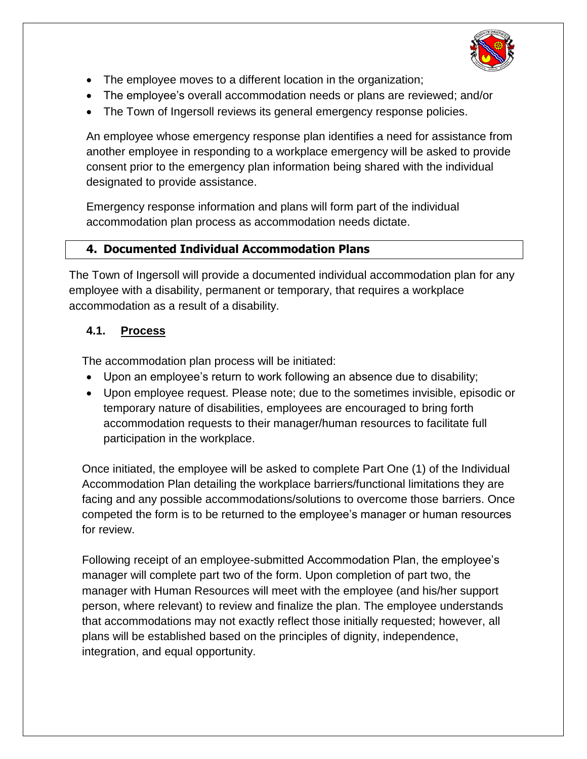

- The employee moves to a different location in the organization;
- The employee's overall accommodation needs or plans are reviewed; and/or
- The Town of Ingersoll reviews its general emergency response policies.

An employee whose emergency response plan identifies a need for assistance from another employee in responding to a workplace emergency will be asked to provide consent prior to the emergency plan information being shared with the individual designated to provide assistance.

Emergency response information and plans will form part of the individual accommodation plan process as accommodation needs dictate.

## **4. Documented Individual Accommodation Plans**

The Town of Ingersoll will provide a documented individual accommodation plan for any employee with a disability, permanent or temporary, that requires a workplace accommodation as a result of a disability.

## **4.1. Process**

The accommodation plan process will be initiated:

- Upon an employee's return to work following an absence due to disability;
- Upon employee request. Please note; due to the sometimes invisible, episodic or temporary nature of disabilities, employees are encouraged to bring forth accommodation requests to their manager/human resources to facilitate full participation in the workplace.

Once initiated, the employee will be asked to complete Part One (1) of the Individual Accommodation Plan detailing the workplace barriers/functional limitations they are facing and any possible accommodations/solutions to overcome those barriers. Once competed the form is to be returned to the employee's manager or human resources for review.

Following receipt of an employee-submitted Accommodation Plan, the employee's manager will complete part two of the form. Upon completion of part two, the manager with Human Resources will meet with the employee (and his/her support person, where relevant) to review and finalize the plan. The employee understands that accommodations may not exactly reflect those initially requested; however, all plans will be established based on the principles of dignity, independence, integration, and equal opportunity.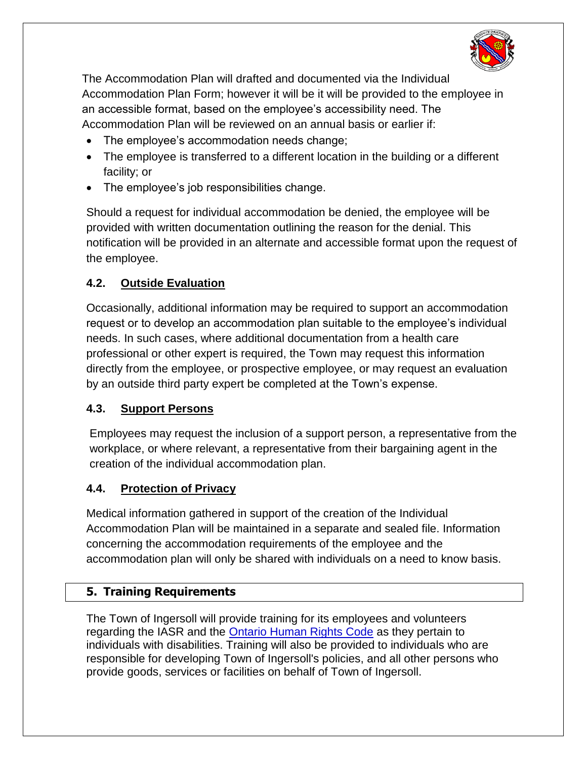

The Accommodation Plan will drafted and documented via the Individual Accommodation Plan Form; however it will be it will be provided to the employee in an accessible format, based on the employee's accessibility need. The Accommodation Plan will be reviewed on an annual basis or earlier if:

- The employee's accommodation needs change;
- The employee is transferred to a different location in the building or a different facility; or
- The employee's job responsibilities change.

Should a request for individual accommodation be denied, the employee will be provided with written documentation outlining the reason for the denial. This notification will be provided in an alternate and accessible format upon the request of the employee.

### **4.2. Outside Evaluation**

Occasionally, additional information may be required to support an accommodation request or to develop an accommodation plan suitable to the employee's individual needs. In such cases, where additional documentation from a health care professional or other expert is required, the Town may request this information directly from the employee, or prospective employee, or may request an evaluation by an outside third party expert be completed at the Town's expense.

### **4.3. Support Persons**

Employees may request the inclusion of a support person, a representative from the workplace, or where relevant, a representative from their bargaining agent in the creation of the individual accommodation plan.

### **4.4. Protection of Privacy**

Medical information gathered in support of the creation of the Individual Accommodation Plan will be maintained in a separate and sealed file. Information concerning the accommodation requirements of the employee and the accommodation plan will only be shared with individuals on a need to know basis.

### **5. Training Requirements**

The Town of Ingersoll will provide training for its employees and volunteers regarding the IASR and the [Ontario Human Rights Code](http://www.e-laws.gov.on.ca/html/statutes/english/elaws_statutes_90h19_e.htm) as they pertain to individuals with disabilities. Training will also be provided to individuals who are responsible for developing Town of Ingersoll's policies, and all other persons who provide goods, services or facilities on behalf of Town of Ingersoll.